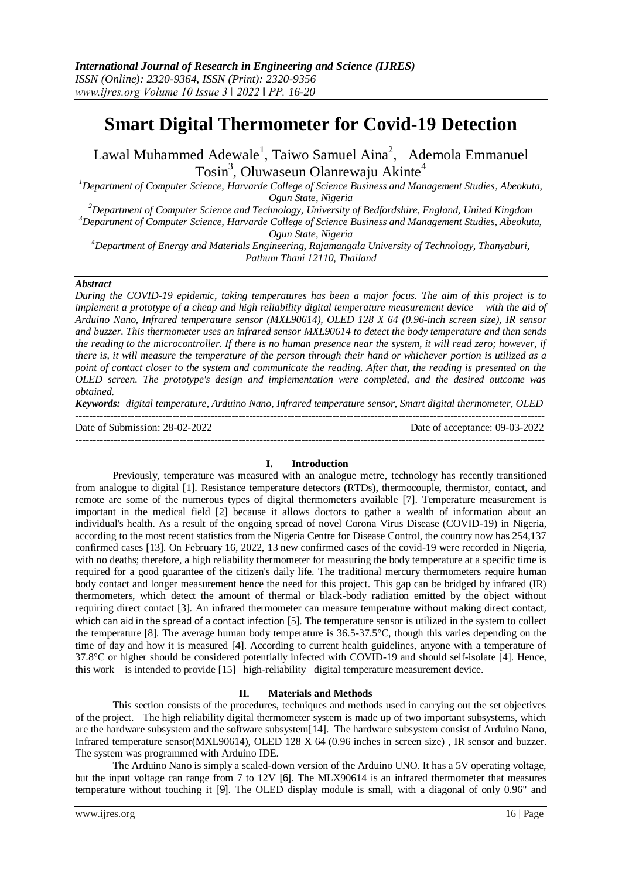# **Smart Digital Thermometer for Covid-19 Detection**

Lawal Muhammed Adewale<sup>1</sup>, Taiwo Samuel Aina<sup>2</sup>, Ademola Emmanuel Tosin<sup>3</sup>, Oluwaseun Olanrewaju Akinte<sup>4</sup>

*<sup>1</sup>Department of Computer Science, Harvarde College of Science Business and Management Studies, Abeokuta, Ogun State, Nigeria*

*<sup>2</sup>Department of Computer Science and Technology, University of Bedfordshire, England, United Kingdom <sup>3</sup>Department of Computer Science, Harvarde College of Science Business and Management Studies, Abeokuta, Ogun State, Nigeria*

*<sup>4</sup>Department of Energy and Materials Engineering, Rajamangala University of Technology, Thanyaburi, Pathum Thani 12110, Thailand*

#### *Abstract*

*During the COVID-19 epidemic, taking temperatures has been a major focus. The aim of this project is to implement a prototype of a cheap and high reliability digital temperature measurement device with the aid of Arduino Nano, Infrared temperature sensor (MXL90614), OLED 128 X 64 (0.96-inch screen size), IR sensor and buzzer. This thermometer uses an infrared sensor MXL90614 to detect the body temperature and then sends the reading to the microcontroller. If there is no human presence near the system, it will read zero; however, if there is, it will measure the temperature of the person through their hand or whichever portion is utilized as a point of contact closer to the system and communicate the reading. After that, the reading is presented on the OLED screen. The prototype's design and implementation were completed, and the desired outcome was obtained.*

*Keywords: digital temperature, Arduino Nano, Infrared temperature sensor, Smart digital thermometer, OLED* ---------------------------------------------------------------------------------------------------------------------------------------

Date of Submission: 28-02-2022 Date of acceptance: 09-03-2022

#### ---------------------------------------------------------------------------------------------------------------------------------------

## **I. Introduction**

Previously, temperature was measured with an analogue metre, technology has recently transitioned from analogue to digital [1]. Resistance temperature detectors (RTDs), thermocouple, thermistor, contact, and remote are some of the numerous types of digital thermometers available [7]. Temperature measurement is important in the medical field [2] because it allows doctors to gather a wealth of information about an individual's health. As a result of the ongoing spread of novel Corona Virus Disease (COVID-19) in Nigeria, according to the most recent statistics from the Nigeria Centre for Disease Control, the country now has 254,137 confirmed cases [13]. On February 16, 2022, 13 new confirmed cases of the covid-19 were recorded in Nigeria, with no deaths; therefore, a high reliability thermometer for measuring the body temperature at a specific time is required for a good guarantee of the citizen's daily life. The traditional mercury thermometers require human body contact and longer measurement hence the need for this project. This gap can be bridged by infrared (IR) thermometers, which detect the amount of thermal or black-body radiation emitted by the object without requiring direct contact [3]. An infrared thermometer can measure temperature without making direct contact, which can aid in the spread of a contact infection [5]. The temperature sensor is utilized in the system to collect the temperature [8]. The average human body temperature is 36.5-37.5°C, though this varies depending on the time of day and how it is measured [4]. According to current health guidelines, anyone with a temperature of 37.8°C or higher should be considered potentially infected with COVID-19 and should self-isolate [4]. Hence, this work is intended to provide [15] high-reliability digital temperature measurement device.

#### **II. Materials and Methods**

This section consists of the procedures, techniques and methods used in carrying out the set objectives of the project. The high reliability digital thermometer system is made up of two important subsystems, which are the hardware subsystem and the software subsystem[14]. The hardware subsystem consist of Arduino Nano, Infrared temperature sensor(MXL90614), OLED 128 X 64 (0.96 inches in screen size) , IR sensor and buzzer. The system was programmed with Arduino IDE.

The Arduino Nano is simply a scaled-down version of the Arduino UNO. It has a 5V operating voltage, but the input voltage can range from 7 to 12V [6]. The MLX90614 is an infrared thermometer that measures temperature without touching it [9]. The OLED display module is small, with a diagonal of only 0.96" and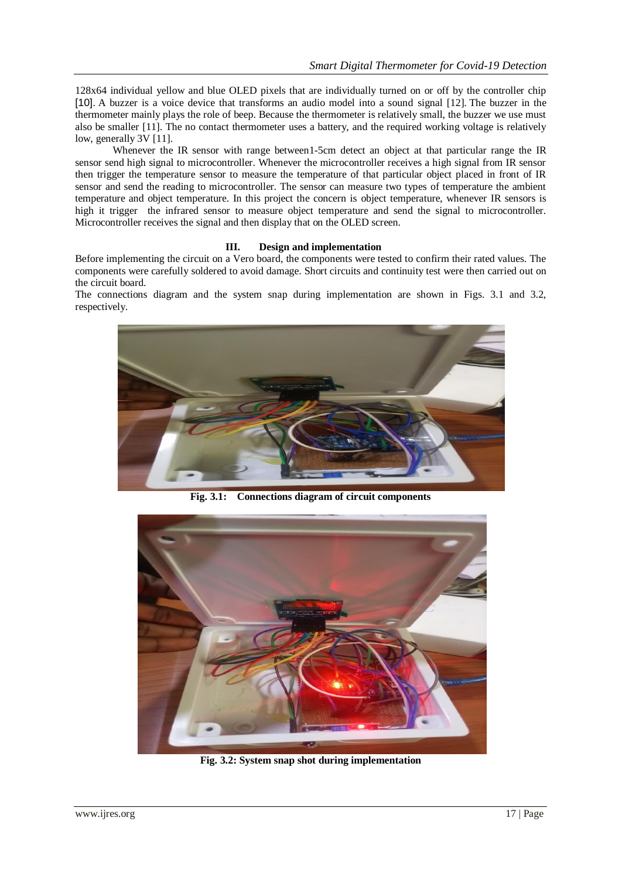128x64 individual yellow and blue OLED pixels that are individually turned on or off by the controller chip [10]. A buzzer is a voice device that transforms an audio model into a sound signal [12]. The buzzer in the thermometer mainly plays the role of beep. Because the thermometer is relatively small, the buzzer we use must also be smaller [11]. The no contact thermometer uses a battery, and the required working voltage is relatively low, generally 3V [11].

Whenever the IR sensor with range between1-5cm detect an object at that particular range the IR sensor send high signal to microcontroller. Whenever the microcontroller receives a high signal from IR sensor then trigger the temperature sensor to measure the temperature of that particular object placed in front of IR sensor and send the reading to microcontroller. The sensor can measure two types of temperature the ambient temperature and object temperature. In this project the concern is object temperature, whenever IR sensors is high it trigger the infrared sensor to measure object temperature and send the signal to microcontroller. Microcontroller receives the signal and then display that on the OLED screen.

### **III. Design and implementation**

Before implementing the circuit on a Vero board, the components were tested to confirm their rated values. The components were carefully soldered to avoid damage. Short circuits and continuity test were then carried out on the circuit board.

The connections diagram and the system snap during implementation are shown in Figs. 3.1 and 3.2, respectively.



**Fig. 3.1: Connections diagram of circuit components**



**Fig. 3.2: System snap shot during implementation**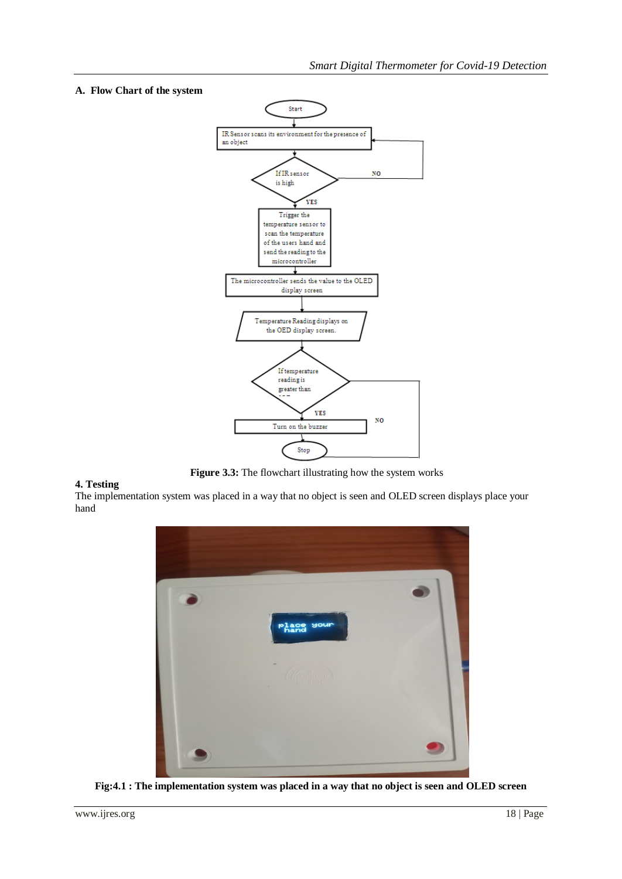## **A. Flow Chart of the system**



 **Figure 3.3:** The flowchart illustrating how the system works

## **4. Testing**

The implementation system was placed in a way that no object is seen and OLED screen displays place your hand



**Fig:4.1 : The implementation system was placed in a way that no object is seen and OLED screen**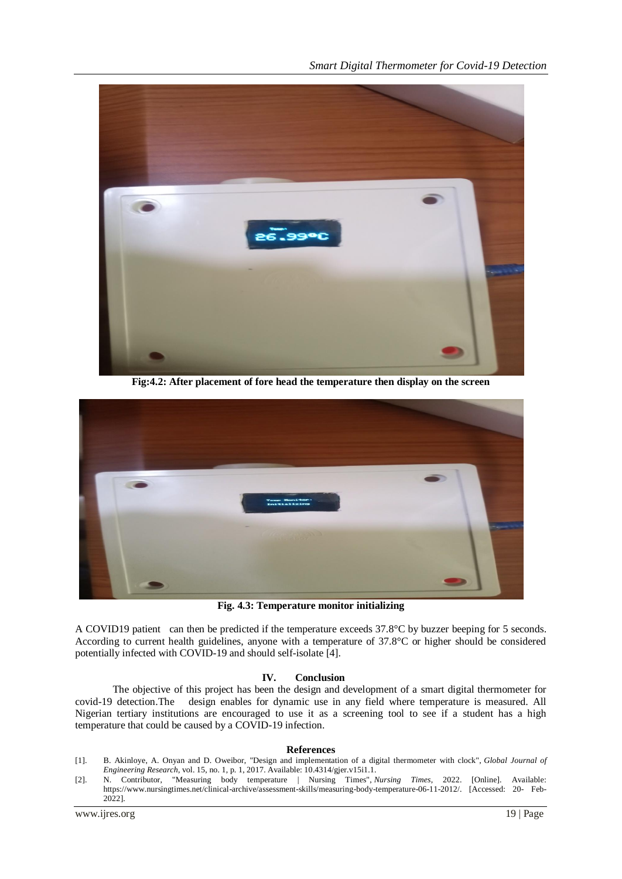

**Fig:4.2: After placement of fore head the temperature then display on the screen**



**Fig. 4.3: Temperature monitor initializing**

A COVID19 patient can then be predicted if the temperature exceeds 37.8°C by buzzer beeping for 5 seconds. According to current health guidelines, anyone with a temperature of 37.8°C or higher should be considered potentially infected with COVID-19 and should self-isolate [4].

## **IV. Conclusion**

The objective of this project has been the design and development of a smart digital thermometer for covid-19 detection.The design enables for dynamic use in any field where temperature is measured. All Nigerian tertiary institutions are encouraged to use it as a screening tool to see if a student has a high temperature that could be caused by a COVID-19 infection.

#### **References**

- [1]. B. Akinloye, A. Onyan and D. Oweibor, "Design and implementation of a digital thermometer with clock", *Global Journal of Engineering Research*, vol. 15, no. 1, p. 1, 2017. Available: 10.4314/gjer.v15i1.1.
- [2]. N. Contributor, "Measuring body temperature | Nursing Times", *Nursing Times*, 2022. [Online]. Available: https://www.nursingtimes.net/clinical-archive/assessment-skills/measuring-body-temperature-06-11-2012/. [Accessed: 20- Feb-2022].